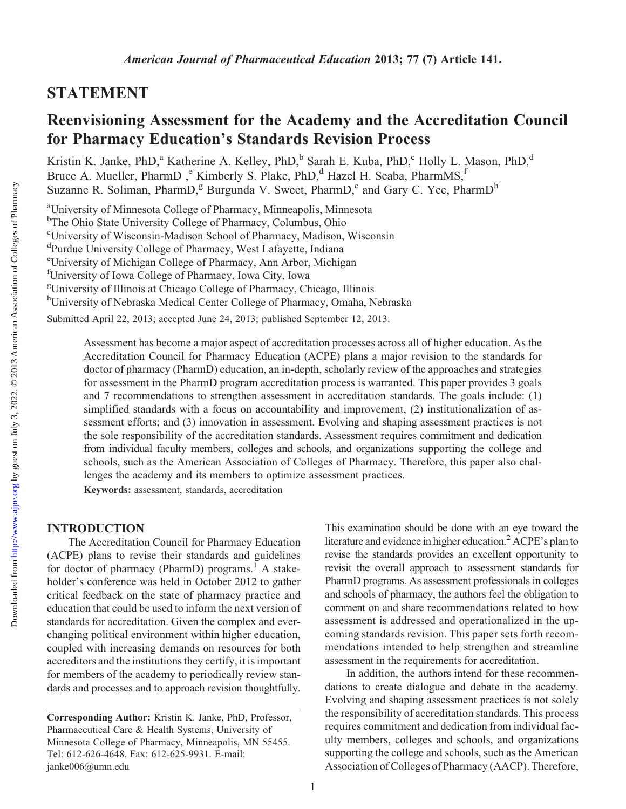# STATEMENT

# Reenvisioning Assessment for the Academy and the Accreditation Council for Pharmacy Education's Standards Revision Process

Kristin K. Janke, PhD,<sup>a</sup> Katherine A. Kelley, PhD,<sup>b</sup> Sarah E. Kuba, PhD,<sup>c</sup> Holly L. Mason, PhD,<sup>d</sup> Bruce A. Mueller, PharmD, <sup>e</sup> Kimberly S. Plake, PhD,<sup>d</sup> Hazel H. Seaba, PharmMS,<sup>f</sup> Suzanne R. Soliman, PharmD,<sup>g</sup> Burgunda V. Sweet, PharmD,<sup>e</sup> and Gary C. Yee, PharmD<sup>h</sup>

<sup>a</sup>University of Minnesota College of Pharmacy, Minneapolis, Minnesota <sup>b</sup>The Ohio State University College of Pharmacy, Columbus, Ohio c University of Wisconsin-Madison School of Pharmacy, Madison, Wisconsin d Purdue University College of Pharmacy, West Lafayette, Indiana e University of Michigan College of Pharmacy, Ann Arbor, Michigan f University of Iowa College of Pharmacy, Iowa City, Iowa g University of Illinois at Chicago College of Pharmacy, Chicago, Illinois hUniversity of Nebraska Medical Center College of Pharmacy, Omaha, Nebraska Submitted April 22, 2013; accepted June 24, 2013; published September 12, 2013.

> Assessment has become a major aspect of accreditation processes across all of higher education. As the Accreditation Council for Pharmacy Education (ACPE) plans a major revision to the standards for doctor of pharmacy (PharmD) education, an in-depth, scholarly review of the approaches and strategies for assessment in the PharmD program accreditation process is warranted. This paper provides 3 goals and 7 recommendations to strengthen assessment in accreditation standards. The goals include: (1) simplified standards with a focus on accountability and improvement, (2) institutionalization of assessment efforts; and (3) innovation in assessment. Evolving and shaping assessment practices is not the sole responsibility of the accreditation standards. Assessment requires commitment and dedication from individual faculty members, colleges and schools, and organizations supporting the college and schools, such as the American Association of Colleges of Pharmacy. Therefore, this paper also challenges the academy and its members to optimize assessment practices.

Keywords: assessment, standards, accreditation

## INTRODUCTION

The Accreditation Council for Pharmacy Education (ACPE) plans to revise their standards and guidelines for doctor of pharmacy (PharmD) programs.<sup> $\overline{1}$ </sup> A stakeholder's conference was held in October 2012 to gather critical feedback on the state of pharmacy practice and education that could be used to inform the next version of standards for accreditation. Given the complex and everchanging political environment within higher education, coupled with increasing demands on resources for both accreditors and the institutions they certify, it is important for members of the academy to periodically review standards and processes and to approach revision thoughtfully.

This examination should be done with an eye toward the literature and evidence in higher education.<sup>2</sup> ACPE's plan to revise the standards provides an excellent opportunity to revisit the overall approach to assessment standards for PharmD programs. As assessment professionals in colleges and schools of pharmacy, the authors feel the obligation to comment on and share recommendations related to how assessment is addressed and operationalized in the upcoming standards revision. This paper sets forth recommendations intended to help strengthen and streamline assessment in the requirements for accreditation.

In addition, the authors intend for these recommendations to create dialogue and debate in the academy. Evolving and shaping assessment practices is not solely the responsibility of accreditation standards. This process requires commitment and dedication from individual faculty members, colleges and schools, and organizations supporting the college and schools, such as the American Association of Colleges of Pharmacy (AACP). Therefore,

Corresponding Author: Kristin K. Janke, PhD, Professor, Pharmaceutical Care & Health Systems, University of Minnesota College of Pharmacy, Minneapolis, MN 55455. Tel: 612-626-4648. Fax: 612-625-9931. E-mail: janke006@umn.edu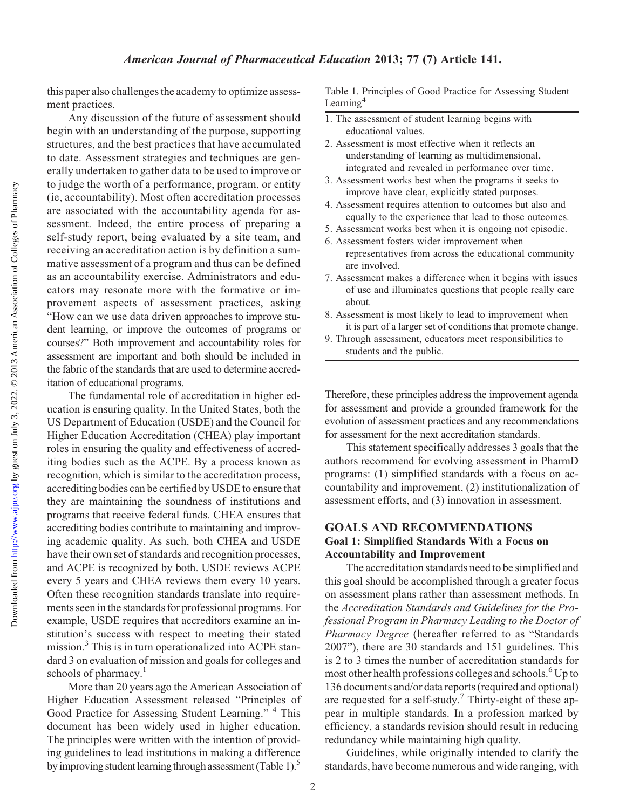this paper also challenges the academy to optimize assessment practices.

Any discussion of the future of assessment should begin with an understanding of the purpose, supporting structures, and the best practices that have accumulated to date. Assessment strategies and techniques are generally undertaken to gather data to be used to improve or to judge the worth of a performance, program, or entity (ie, accountability). Most often accreditation processes are associated with the accountability agenda for assessment. Indeed, the entire process of preparing a self-study report, being evaluated by a site team, and receiving an accreditation action is by definition a summative assessment of a program and thus can be defined as an accountability exercise. Administrators and educators may resonate more with the formative or improvement aspects of assessment practices, asking "How can we use data driven approaches to improve student learning, or improve the outcomes of programs or courses?" Both improvement and accountability roles for assessment are important and both should be included in the fabric of the standards that are used to determine accreditation of educational programs.

The fundamental role of accreditation in higher education is ensuring quality. In the United States, both the US Department of Education (USDE) and the Council for Higher Education Accreditation (CHEA) play important roles in ensuring the quality and effectiveness of accrediting bodies such as the ACPE. By a process known as recognition, which is similar to the accreditation process, accrediting bodies can be certified by USDE to ensure that they are maintaining the soundness of institutions and programs that receive federal funds. CHEA ensures that accrediting bodies contribute to maintaining and improving academic quality. As such, both CHEA and USDE have their own set of standards and recognition processes, and ACPE is recognized by both. USDE reviews ACPE every 5 years and CHEA reviews them every 10 years. Often these recognition standards translate into requirements seen in the standards for professional programs. For example, USDE requires that accreditors examine an institution's success with respect to meeting their stated mission.3 This is in turn operationalized into ACPE standard 3 on evaluation of mission and goals for colleges and schools of pharmacy. $<sup>1</sup>$ </sup>

More than 20 years ago the American Association of Higher Education Assessment released "Principles of Good Practice for Assessing Student Learning."<sup>4</sup> This document has been widely used in higher education. The principles were written with the intention of providing guidelines to lead institutions in making a difference by improving student learning through assessment (Table 1).<sup>5</sup>

Table 1. Principles of Good Practice for Assessing Student Learning<sup>4</sup>

- 1. The assessment of student learning begins with educational values.
- 2. Assessment is most effective when it reflects an understanding of learning as multidimensional, integrated and revealed in performance over time.
- 3. Assessment works best when the programs it seeks to improve have clear, explicitly stated purposes.
- 4. Assessment requires attention to outcomes but also and equally to the experience that lead to those outcomes.
- 5. Assessment works best when it is ongoing not episodic.
- 6. Assessment fosters wider improvement when representatives from across the educational community are involved.
- 7. Assessment makes a difference when it begins with issues of use and illuminates questions that people really care about.
- 8. Assessment is most likely to lead to improvement when it is part of a larger set of conditions that promote change.
- 9. Through assessment, educators meet responsibilities to students and the public.

Therefore, these principles address the improvement agenda for assessment and provide a grounded framework for the evolution of assessment practices and any recommendations for assessment for the next accreditation standards.

This statement specifically addresses 3 goals that the authors recommend for evolving assessment in PharmD programs: (1) simplified standards with a focus on accountability and improvement, (2) institutionalization of assessment efforts, and (3) innovation in assessment.

## GOALS AND RECOMMENDATIONS Goal 1: Simplified Standards With a Focus on Accountability and Improvement

The accreditation standards need to be simplified and this goal should be accomplished through a greater focus on assessment plans rather than assessment methods. In the Accreditation Standards and Guidelines for the Professional Program in Pharmacy Leading to the Doctor of Pharmacy Degree (hereafter referred to as "Standards 2007"), there are 30 standards and 151 guidelines. This is 2 to 3 times the number of accreditation standards for most other health professions colleges and schools.<sup>6</sup> Up to 136 documents and/or data reports (required and optional) are requested for a self-study.7 Thirty-eight of these appear in multiple standards. In a profession marked by efficiency, a standards revision should result in reducing redundancy while maintaining high quality.

Guidelines, while originally intended to clarify the standards, have become numerous and wide ranging, with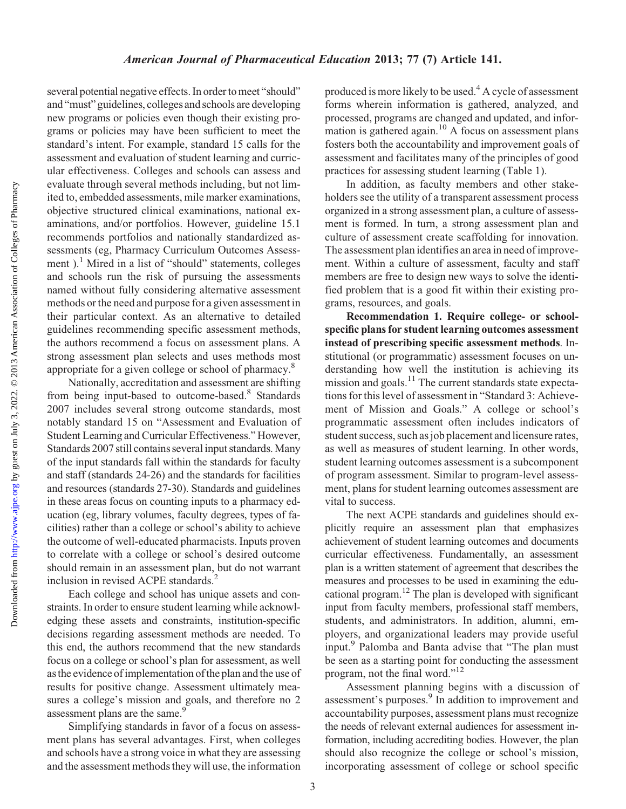several potential negative effects. In order to meet "should" and "must" guidelines, colleges and schools are developing new programs or policies even though their existing programs or policies may have been sufficient to meet the standard's intent. For example, standard 15 calls for the assessment and evaluation of student learning and curricular effectiveness. Colleges and schools can assess and evaluate through several methods including, but not limited to, embedded assessments, mile marker examinations, objective structured clinical examinations, national examinations, and/or portfolios. However, guideline 15.1 recommends portfolios and nationally standardized assessments (eg, Pharmacy Curriculum Outcomes Assessment ).<sup>1</sup> Mired in a list of "should" statements, colleges and schools run the risk of pursuing the assessments named without fully considering alternative assessment methods or the need and purpose for a given assessment in their particular context. As an alternative to detailed guidelines recommending specific assessment methods, the authors recommend a focus on assessment plans. A strong assessment plan selects and uses methods most appropriate for a given college or school of pharmacy.8

Nationally, accreditation and assessment are shifting from being input-based to outcome-based.<sup>8</sup> Standards 2007 includes several strong outcome standards, most notably standard 15 on "Assessment and Evaluation of Student Learning and Curricular Effectiveness." However, Standards 2007 still contains several input standards. Many of the input standards fall within the standards for faculty and staff (standards 24-26) and the standards for facilities and resources (standards 27-30). Standards and guidelines in these areas focus on counting inputs to a pharmacy education (eg, library volumes, faculty degrees, types of facilities) rather than a college or school's ability to achieve the outcome of well-educated pharmacists. Inputs proven to correlate with a college or school's desired outcome should remain in an assessment plan, but do not warrant inclusion in revised ACPE standards.<sup>2</sup>

Each college and school has unique assets and constraints. In order to ensure student learning while acknowledging these assets and constraints, institution-specific decisions regarding assessment methods are needed. To this end, the authors recommend that the new standards focus on a college or school's plan for assessment, as well as the evidence of implementation of the plan and the use of results for positive change. Assessment ultimately measures a college's mission and goals, and therefore no 2 assessment plans are the same.<sup>9</sup>

Simplifying standards in favor of a focus on assessment plans has several advantages. First, when colleges and schools have a strong voice in what they are assessing and the assessment methods they will use, the information

produced is more likely to be used.4 A cycle of assessment forms wherein information is gathered, analyzed, and processed, programs are changed and updated, and information is gathered again.<sup>10</sup> A focus on assessment plans fosters both the accountability and improvement goals of assessment and facilitates many of the principles of good practices for assessing student learning (Table 1).

In addition, as faculty members and other stakeholders see the utility of a transparent assessment process organized in a strong assessment plan, a culture of assessment is formed. In turn, a strong assessment plan and culture of assessment create scaffolding for innovation. The assessment plan identifies an area in need of improvement. Within a culture of assessment, faculty and staff members are free to design new ways to solve the identified problem that is a good fit within their existing programs, resources, and goals.

Recommendation 1. Require college- or schoolspecific plans for student learning outcomes assessment instead of prescribing specific assessment methods. Institutional (or programmatic) assessment focuses on understanding how well the institution is achieving its mission and goals.<sup>11</sup> The current standards state expectations for this level of assessment in "Standard 3: Achievement of Mission and Goals." A college or school's programmatic assessment often includes indicators of student success, such as job placement and licensure rates, as well as measures of student learning. In other words, student learning outcomes assessment is a subcomponent of program assessment. Similar to program-level assessment, plans for student learning outcomes assessment are vital to success.

The next ACPE standards and guidelines should explicitly require an assessment plan that emphasizes achievement of student learning outcomes and documents curricular effectiveness. Fundamentally, an assessment plan is a written statement of agreement that describes the measures and processes to be used in examining the educational program.12 The plan is developed with significant input from faculty members, professional staff members, students, and administrators. In addition, alumni, employers, and organizational leaders may provide useful input.<sup>9</sup> Palomba and Banta advise that "The plan must be seen as a starting point for conducting the assessment program, not the final word."<sup>12</sup>

Assessment planning begins with a discussion of assessment's purposes.<sup>9</sup> In addition to improvement and accountability purposes, assessment plans must recognize the needs of relevant external audiences for assessment information, including accrediting bodies. However, the plan should also recognize the college or school's mission, incorporating assessment of college or school specific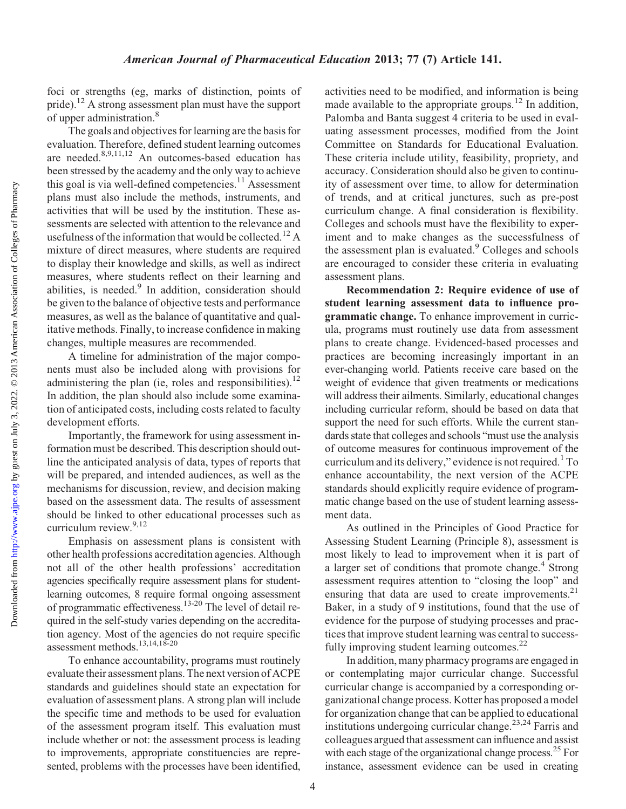foci or strengths (eg, marks of distinction, points of pride).<sup>12</sup> A strong assessment plan must have the support of upper administration.8

The goals and objectives for learning are the basis for evaluation. Therefore, defined student learning outcomes are needed.<sup>8,9,11,12</sup> An outcomes-based education has been stressed by the academy and the only way to achieve this goal is via well-defined competencies.<sup>11</sup> Assessment plans must also include the methods, instruments, and activities that will be used by the institution. These assessments are selected with attention to the relevance and usefulness of the information that would be collected.<sup>12</sup> A mixture of direct measures, where students are required to display their knowledge and skills, as well as indirect measures, where students reflect on their learning and abilities, is needed.<sup>9</sup> In addition, consideration should be given to the balance of objective tests and performance measures, as well as the balance of quantitative and qualitative methods. Finally, to increase confidence in making changes, multiple measures are recommended.

A timeline for administration of the major components must also be included along with provisions for administering the plan (ie, roles and responsibilities).<sup>12</sup> In addition, the plan should also include some examination of anticipated costs, including costs related to faculty development efforts.

Importantly, the framework for using assessment information must be described. This description should outline the anticipated analysis of data, types of reports that will be prepared, and intended audiences, as well as the mechanisms for discussion, review, and decision making based on the assessment data. The results of assessment should be linked to other educational processes such as curriculum review. $9,12$ 

Emphasis on assessment plans is consistent with other health professions accreditation agencies. Although not all of the other health professions' accreditation agencies specifically require assessment plans for studentlearning outcomes, 8 require formal ongoing assessment of programmatic effectiveness.13-20 The level of detail required in the self-study varies depending on the accreditation agency. Most of the agencies do not require specific assessment methods.13,14,18-20

To enhance accountability, programs must routinely evaluate their assessment plans. The next version of ACPE standards and guidelines should state an expectation for evaluation of assessment plans. A strong plan will include the specific time and methods to be used for evaluation of the assessment program itself. This evaluation must include whether or not: the assessment process is leading to improvements, appropriate constituencies are represented, problems with the processes have been identified,

activities need to be modified, and information is being made available to the appropriate groups.<sup>12</sup> In addition, Palomba and Banta suggest 4 criteria to be used in evaluating assessment processes, modified from the Joint Committee on Standards for Educational Evaluation. These criteria include utility, feasibility, propriety, and accuracy. Consideration should also be given to continuity of assessment over time, to allow for determination of trends, and at critical junctures, such as pre-post curriculum change. A final consideration is flexibility. Colleges and schools must have the flexibility to experiment and to make changes as the successfulness of the assessment plan is evaluated.<sup>9</sup> Colleges and schools are encouraged to consider these criteria in evaluating assessment plans.

Recommendation 2: Require evidence of use of student learning assessment data to influence programmatic change. To enhance improvement in curricula, programs must routinely use data from assessment plans to create change. Evidenced-based processes and practices are becoming increasingly important in an ever-changing world. Patients receive care based on the weight of evidence that given treatments or medications will address their ailments. Similarly, educational changes including curricular reform, should be based on data that support the need for such efforts. While the current standards state that colleges and schools "must use the analysis of outcome measures for continuous improvement of the curriculum and its delivery," evidence is not required.<sup>1</sup> To enhance accountability, the next version of the ACPE standards should explicitly require evidence of programmatic change based on the use of student learning assessment data.

As outlined in the Principles of Good Practice for Assessing Student Learning (Principle 8), assessment is most likely to lead to improvement when it is part of a larger set of conditions that promote change.<sup>4</sup> Strong assessment requires attention to "closing the loop" and ensuring that data are used to create improvements. $2<sup>1</sup>$ Baker, in a study of 9 institutions, found that the use of evidence for the purpose of studying processes and practices that improve student learning was central to successfully improving student learning outcomes. $^{22}$ 

In addition, many pharmacy programs are engaged in or contemplating major curricular change. Successful curricular change is accompanied by a corresponding organizational change process. Kotter has proposed a model for organization change that can be applied to educational institutions undergoing curricular change.<sup>23,24</sup> Farris and colleagues argued that assessment can influence and assist with each stage of the organizational change process.<sup>25</sup> For instance, assessment evidence can be used in creating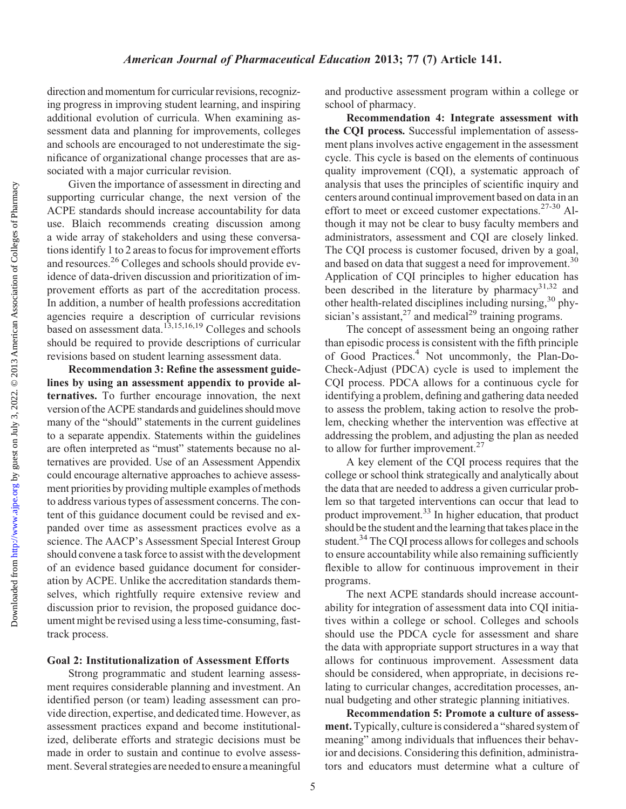#### American Journal of Pharmaceutical Education 2013; 77 (7) Article 141.

direction and momentum for curricular revisions, recognizing progress in improving student learning, and inspiring additional evolution of curricula. When examining assessment data and planning for improvements, colleges and schools are encouraged to not underestimate the significance of organizational change processes that are associated with a major curricular revision.

Given the importance of assessment in directing and supporting curricular change, the next version of the ACPE standards should increase accountability for data use. Blaich recommends creating discussion among a wide array of stakeholders and using these conversations identify 1 to 2 areas to focus for improvement efforts and resources.26 Colleges and schools should provide evidence of data-driven discussion and prioritization of improvement efforts as part of the accreditation process. In addition, a number of health professions accreditation agencies require a description of curricular revisions based on assessment data.<sup>13,15,16,19</sup> Colleges and schools should be required to provide descriptions of curricular revisions based on student learning assessment data.

Recommendation 3: Refine the assessment guidelines by using an assessment appendix to provide alternatives. To further encourage innovation, the next version of the ACPE standards and guidelines should move many of the "should" statements in the current guidelines to a separate appendix. Statements within the guidelines are often interpreted as "must" statements because no alternatives are provided. Use of an Assessment Appendix could encourage alternative approaches to achieve assessment priorities by providing multiple examples of methods to address various types of assessment concerns. The content of this guidance document could be revised and expanded over time as assessment practices evolve as a science. The AACP's Assessment Special Interest Group should convene a task force to assist with the development of an evidence based guidance document for consideration by ACPE. Unlike the accreditation standards themselves, which rightfully require extensive review and discussion prior to revision, the proposed guidance document might be revised using a less time-consuming, fasttrack process.

#### Goal 2: Institutionalization of Assessment Efforts

Strong programmatic and student learning assessment requires considerable planning and investment. An identified person (or team) leading assessment can provide direction, expertise, and dedicated time. However, as assessment practices expand and become institutionalized, deliberate efforts and strategic decisions must be made in order to sustain and continue to evolve assessment. Several strategies are needed to ensure a meaningful and productive assessment program within a college or school of pharmacy.

Recommendation 4: Integrate assessment with the CQI process. Successful implementation of assessment plans involves active engagement in the assessment cycle. This cycle is based on the elements of continuous quality improvement (CQI), a systematic approach of analysis that uses the principles of scientific inquiry and centers around continual improvement based on data in an effort to meet or exceed customer expectations.<sup>27-30</sup> Although it may not be clear to busy faculty members and administrators, assessment and CQI are closely linked. The CQI process is customer focused, driven by a goal, and based on data that suggest a need for improvement.<sup>30</sup> Application of CQI principles to higher education has been described in the literature by pharmacy $31,32$  and other health-related disciplines including nursing,<sup>30</sup> physician's assistant,  $27$  and medical<sup>29</sup> training programs.

The concept of assessment being an ongoing rather than episodic process is consistent with the fifth principle of Good Practices.4 Not uncommonly, the Plan-Do-Check-Adjust (PDCA) cycle is used to implement the CQI process. PDCA allows for a continuous cycle for identifying a problem, defining and gathering data needed to assess the problem, taking action to resolve the problem, checking whether the intervention was effective at addressing the problem, and adjusting the plan as needed to allow for further improvement.<sup>27</sup>

A key element of the CQI process requires that the college or school think strategically and analytically about the data that are needed to address a given curricular problem so that targeted interventions can occur that lead to product improvement.<sup>33</sup> In higher education, that product should be the student and the learning that takes place in the student.<sup>34</sup> The COI process allows for colleges and schools to ensure accountability while also remaining sufficiently flexible to allow for continuous improvement in their programs.

The next ACPE standards should increase accountability for integration of assessment data into CQI initiatives within a college or school. Colleges and schools should use the PDCA cycle for assessment and share the data with appropriate support structures in a way that allows for continuous improvement. Assessment data should be considered, when appropriate, in decisions relating to curricular changes, accreditation processes, annual budgeting and other strategic planning initiatives.

Recommendation 5: Promote a culture of assessment.Typically, culture is considered a "shared system of meaning" among individuals that influences their behavior and decisions. Considering this definition, administrators and educators must determine what a culture of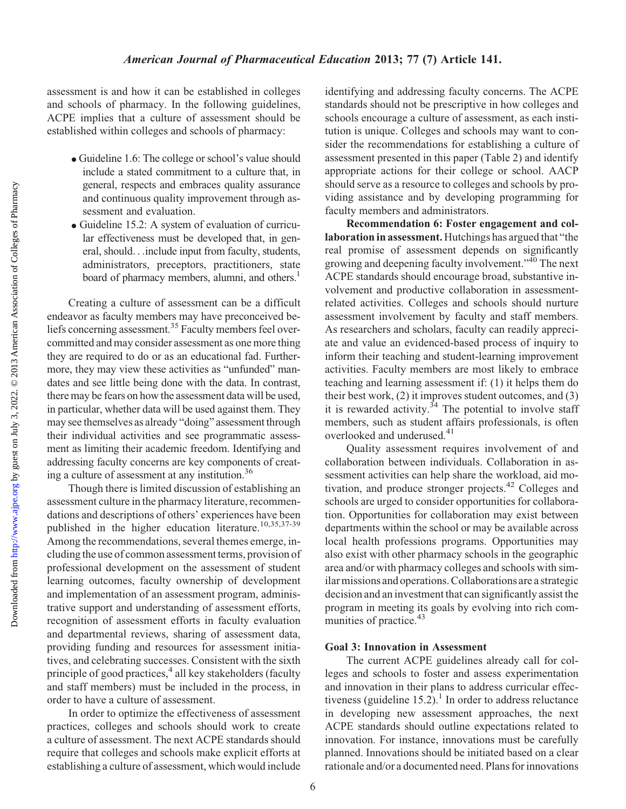assessment is and how it can be established in colleges and schools of pharmacy. In the following guidelines, ACPE implies that a culture of assessment should be established within colleges and schools of pharmacy:

- Guideline 1.6: The college or school's value should include a stated commitment to a culture that, in general, respects and embraces quality assurance and continuous quality improvement through assessment and evaluation.
- Guideline 15.2: A system of evaluation of curricular effectiveness must be developed that, in general, should...include input from faculty, students, administrators, preceptors, practitioners, state board of pharmacy members, alumni, and others.<sup>1</sup>

Creating a culture of assessment can be a difficult endeavor as faculty members may have preconceived beliefs concerning assessment.<sup>35</sup> Faculty members feel overcommitted and may consider assessment as one more thing they are required to do or as an educational fad. Furthermore, they may view these activities as "unfunded" mandates and see little being done with the data. In contrast, there may be fears on how the assessment data will be used, in particular, whether data will be used against them. They may see themselves as already "doing" assessment through their individual activities and see programmatic assessment as limiting their academic freedom. Identifying and addressing faculty concerns are key components of creating a culture of assessment at any institution.36

Though there is limited discussion of establishing an assessment culture in the pharmacy literature, recommendations and descriptions of others' experiences have been published in the higher education literature.<sup>10,35,37-39</sup> Among the recommendations, several themes emerge, including the use of common assessment terms, provision of professional development on the assessment of student learning outcomes, faculty ownership of development and implementation of an assessment program, administrative support and understanding of assessment efforts, recognition of assessment efforts in faculty evaluation and departmental reviews, sharing of assessment data, providing funding and resources for assessment initiatives, and celebrating successes. Consistent with the sixth principle of good practices,<sup>4</sup> all key stakeholders (faculty and staff members) must be included in the process, in order to have a culture of assessment.

In order to optimize the effectiveness of assessment practices, colleges and schools should work to create a culture of assessment. The next ACPE standards should require that colleges and schools make explicit efforts at establishing a culture of assessment, which would include

identifying and addressing faculty concerns. The ACPE standards should not be prescriptive in how colleges and schools encourage a culture of assessment, as each institution is unique. Colleges and schools may want to consider the recommendations for establishing a culture of assessment presented in this paper (Table 2) and identify appropriate actions for their college or school. AACP should serve as a resource to colleges and schools by providing assistance and by developing programming for faculty members and administrators.

Recommendation 6: Foster engagement and collaboration in assessment. Hutchings has argued that "the real promise of assessment depends on significantly growing and deepening faculty involvement."<sup>40</sup> The next ACPE standards should encourage broad, substantive involvement and productive collaboration in assessmentrelated activities. Colleges and schools should nurture assessment involvement by faculty and staff members. As researchers and scholars, faculty can readily appreciate and value an evidenced-based process of inquiry to inform their teaching and student-learning improvement activities. Faculty members are most likely to embrace teaching and learning assessment if: (1) it helps them do their best work, (2) it improves student outcomes, and (3) it is rewarded activity.<sup>34</sup> The potential to involve staff members, such as student affairs professionals, is often overlooked and underused.<sup>41</sup>

Quality assessment requires involvement of and collaboration between individuals. Collaboration in assessment activities can help share the workload, aid motivation, and produce stronger projects.<sup>42</sup> Colleges and schools are urged to consider opportunities for collaboration. Opportunities for collaboration may exist between departments within the school or may be available across local health professions programs. Opportunities may also exist with other pharmacy schools in the geographic area and/or with pharmacy colleges and schools with similar missions and operations. Collaborations are a strategic decision and an investment that can significantly assist the program in meeting its goals by evolving into rich communities of practice.<sup>43</sup>

#### Goal 3: Innovation in Assessment

The current ACPE guidelines already call for colleges and schools to foster and assess experimentation and innovation in their plans to address curricular effectiveness (guideline  $15.2$ ).<sup>1</sup> In order to address reluctance in developing new assessment approaches, the next ACPE standards should outline expectations related to innovation. For instance, innovations must be carefully planned. Innovations should be initiated based on a clear rationale and/or a documented need. Plans for innovations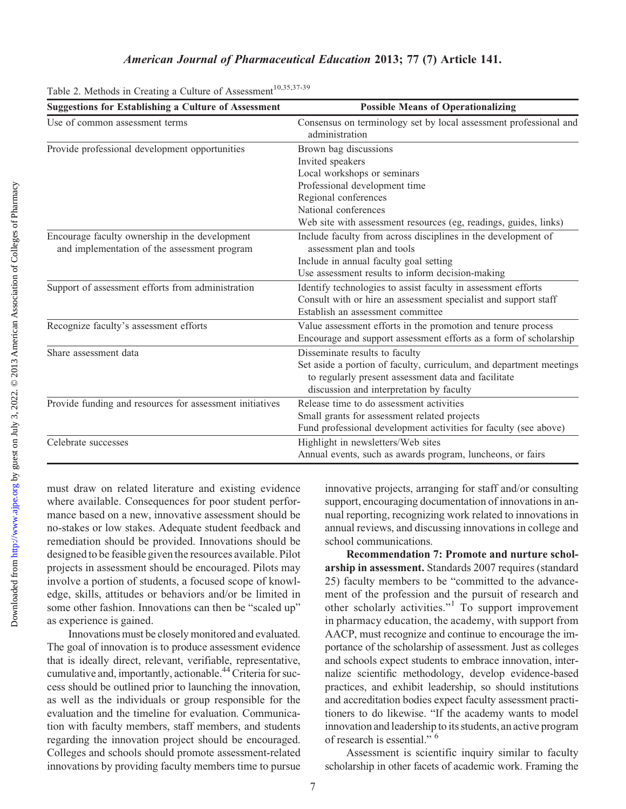### American Journal of Pharmaceutical Education 2013; 77 (7) Article 141.

| <b>Suggestions for Establishing a Culture of Assessment</b> | <b>Possible Means of Operationalizing</b>                                           |
|-------------------------------------------------------------|-------------------------------------------------------------------------------------|
| Use of common assessment terms                              | Consensus on terminology set by local assessment professional and<br>administration |
| Provide professional development opportunities              | Brown bag discussions                                                               |
|                                                             | Invited speakers                                                                    |
|                                                             | Local workshops or seminars                                                         |
|                                                             | Professional development time                                                       |
|                                                             | Regional conferences                                                                |
|                                                             | National conferences                                                                |
|                                                             | Web site with assessment resources (eg, readings, guides, links)                    |
| Encourage faculty ownership in the development              | Include faculty from across disciplines in the development of                       |
| and implementation of the assessment program                | assessment plan and tools                                                           |
|                                                             | Include in annual faculty goal setting                                              |
|                                                             | Use assessment results to inform decision-making                                    |
| Support of assessment efforts from administration           | Identify technologies to assist faculty in assessment efforts                       |
|                                                             | Consult with or hire an assessment specialist and support staff                     |
|                                                             | Establish an assessment committee                                                   |
| Recognize faculty's assessment efforts                      | Value assessment efforts in the promotion and tenure process                        |
|                                                             | Encourage and support assessment efforts as a form of scholarship                   |
| Share assessment data                                       | Disseminate results to faculty                                                      |
|                                                             | Set aside a portion of faculty, curriculum, and department meetings                 |
|                                                             | to regularly present assessment data and facilitate                                 |
|                                                             | discussion and interpretation by faculty                                            |
| Provide funding and resources for assessment initiatives    | Release time to do assessment activities                                            |
|                                                             | Small grants for assessment related projects                                        |
|                                                             | Fund professional development activities for faculty (see above)                    |
| Celebrate successes                                         | Highlight in newsletters/Web sites                                                  |
|                                                             | Annual events, such as awards program, luncheons, or fairs                          |

Table 2. Methods in Creating a Culture of Assessment<sup>10,35,37-39</sup>

must draw on related literature and existing evidence where available. Consequences for poor student performance based on a new, innovative assessment should be no-stakes or low stakes. Adequate student feedback and remediation should be provided. Innovations should be designed to be feasible given the resources available. Pilot projects in assessment should be encouraged. Pilots may involve a portion of students, a focused scope of knowledge, skills, attitudes or behaviors and/or be limited in some other fashion. Innovations can then be "scaled up" as experience is gained.

Innovations must be closely monitored and evaluated. The goal of innovation is to produce assessment evidence that is ideally direct, relevant, verifiable, representative, cumulative and, importantly, actionable.<sup>44</sup> Criteria for success should be outlined prior to launching the innovation, as well as the individuals or group responsible for the evaluation and the timeline for evaluation. Communication with faculty members, staff members, and students regarding the innovation project should be encouraged. Colleges and schools should promote assessment-related innovations by providing faculty members time to pursue

innovative projects, arranging for staff and/or consulting support, encouraging documentation of innovations in annual reporting, recognizing work related to innovations in annual reviews, and discussing innovations in college and school communications.

Recommendation 7: Promote and nurture scholarship in assessment. Standards 2007 requires (standard 25) faculty members to be "committed to the advancement of the profession and the pursuit of research and other scholarly activities."<sup>1</sup> To support improvement in pharmacy education, the academy, with support from AACP, must recognize and continue to encourage the importance of the scholarship of assessment. Just as colleges and schools expect students to embrace innovation, internalize scientific methodology, develop evidence-based practices, and exhibit leadership, so should institutions and accreditation bodies expect faculty assessment practitioners to do likewise. "If the academy wants to model innovation and leadership to its students, an active program of research is essential." <sup>6</sup>

Assessment is scientific inquiry similar to faculty scholarship in other facets of academic work. Framing the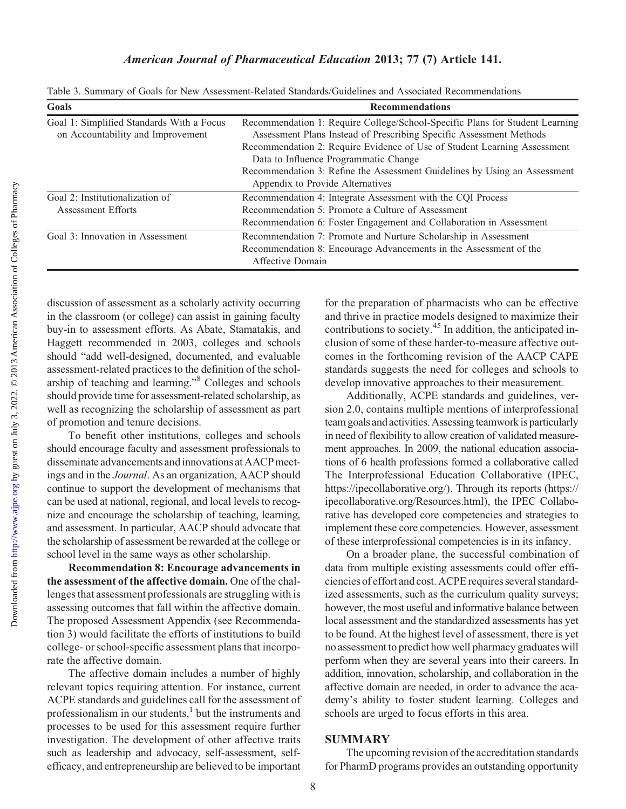## American Journal of Pharmaceutical Education 2013; 77 (7) Article 141.

Table 3. Summary of Goals for New Assessment-Related Standards/Guidelines and Associated Recommendations

| Goals                                     | <b>Recommendations</b>                                                       |
|-------------------------------------------|------------------------------------------------------------------------------|
| Goal 1: Simplified Standards With a Focus | Recommendation 1: Require College/School-Specific Plans for Student Learning |
| on Accountability and Improvement         | Assessment Plans Instead of Prescribing Specific Assessment Methods          |
|                                           | Recommendation 2: Require Evidence of Use of Student Learning Assessment     |
|                                           | Data to Influence Programmatic Change                                        |
|                                           | Recommendation 3: Refine the Assessment Guidelines by Using an Assessment    |
|                                           | Appendix to Provide Alternatives                                             |
| Goal 2: Institutionalization of           | Recommendation 4: Integrate Assessment with the CQI Process                  |
| Assessment Efforts                        | Recommendation 5: Promote a Culture of Assessment                            |
|                                           | Recommendation 6: Foster Engagement and Collaboration in Assessment          |
| Goal 3: Innovation in Assessment          | Recommendation 7: Promote and Nurture Scholarship in Assessment              |
|                                           | Recommendation 8: Encourage Advancements in the Assessment of the            |
|                                           | Affective Domain                                                             |

discussion of assessment as a scholarly activity occurring in the classroom (or college) can assist in gaining faculty buy-in to assessment efforts. As Abate, Stamatakis, and Haggett recommended in 2003, colleges and schools should "add well-designed, documented, and evaluable assessment-related practices to the definition of the scholarship of teaching and learning."8 Colleges and schools should provide time for assessment-related scholarship, as well as recognizing the scholarship of assessment as part of promotion and tenure decisions.

To benefit other institutions, colleges and schools should encourage faculty and assessment professionals to disseminate advancements andinnovations at AACP meetings and in the Journal. As an organization, AACP should continue to support the development of mechanisms that can be used at national, regional, and local levels to recognize and encourage the scholarship of teaching, learning, and assessment. In particular, AACP should advocate that the scholarship of assessment be rewarded at the college or school level in the same ways as other scholarship.

Recommendation 8: Encourage advancements in the assessment of the affective domain. One of the challenges that assessment professionals are struggling with is assessing outcomes that fall within the affective domain. The proposed Assessment Appendix (see Recommendation 3) would facilitate the efforts of institutions to build college- or school-specific assessment plans that incorporate the affective domain.

The affective domain includes a number of highly relevant topics requiring attention. For instance, current ACPE standards and guidelines call for the assessment of professionalism in our students,<sup>1</sup> but the instruments and processes to be used for this assessment require further investigation. The development of other affective traits such as leadership and advocacy, self-assessment, selfefficacy, and entrepreneurship are believed to be important

for the preparation of pharmacists who can be effective and thrive in practice models designed to maximize their contributions to society.<sup>45</sup> In addition, the anticipated inclusion of some of these harder-to-measure affective outcomes in the forthcoming revision of the AACP CAPE standards suggests the need for colleges and schools to develop innovative approaches to their measurement.

Additionally, ACPE standards and guidelines, version 2.0, contains multiple mentions of interprofessional team goals and activities. Assessing teamwork is particularly in need of flexibility to allow creation of validated measurement approaches. In 2009, the national education associations of 6 health professions formed a collaborative called The Interprofessional Education Collaborative (IPEC, https://ipecollaborative.org/). Through its reports (https:// ipecollaborative.org/Resources.html), the IPEC Collaborative has developed core competencies and strategies to implement these core competencies. However, assessment of these interprofessional competencies is in its infancy.

On a broader plane, the successful combination of data from multiple existing assessments could offer efficiencies of effort and cost. ACPE requires several standardized assessments, such as the curriculum quality surveys; however, the most useful and informative balance between local assessment and the standardized assessments has yet to be found. At the highest level of assessment, there is yet no assessment to predict how well pharmacy graduates will perform when they are several years into their careers. In addition, innovation, scholarship, and collaboration in the affective domain are needed, in order to advance the academy's ability to foster student learning. Colleges and schools are urged to focus efforts in this area.

#### SUMMARY

The upcoming revision of the accreditation standards for PharmD programs provides an outstanding opportunity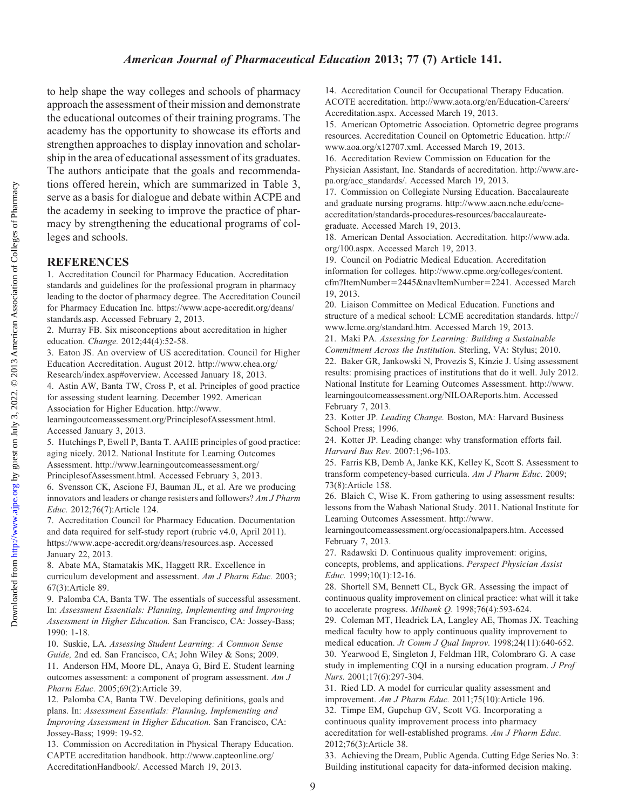# American Journal of Pharmaceutical Education 2013; 77 (7) Article 141.

to help shape the way colleges and schools of pharmacy approach the assessment of their mission and demonstrate the educational outcomes of their training programs. The academy has the opportunity to showcase its efforts and strengthen approaches to display innovation and scholarship in the area of educational assessment of its graduates. The authors anticipate that the goals and recommendations offered herein, which are summarized in Table 3, serve as a basis for dialogue and debate within ACPE and the academy in seeking to improve the practice of pharmacy by strengthening the educational programs of colleges and schools.

# **REFERENCES**

1. Accreditation Council for Pharmacy Education. Accreditation standards and guidelines for the professional program in pharmacy leading to the doctor of pharmacy degree. The Accreditation Council for Pharmacy Education Inc. https://www.acpe-accredit.org/deans/ standards.asp. Accessed February 2, 2013.

2. Murray FB. Six misconceptions about accreditation in higher education. Change. 2012;44(4):52-58.

3. Eaton JS. An overview of US accreditation. Council for Higher Education Accreditation. August 2012. http://www.chea.org/ Research/index.asp#overview. Accessed January 18, 2013.

4. Astin AW, Banta TW, Cross P, et al. Principles of good practice for assessing student learning. December 1992. American Association for Higher Education. http://www.

learningoutcomeassessment.org/PrinciplesofAssessment.html. Accessed January 3, 2013.

5. Hutchings P, Ewell P, Banta T. AAHE principles of good practice: aging nicely. 2012. National Institute for Learning Outcomes Assessment. http://www.learningoutcomeassessment.org/ PrinciplesofAssessment.html. Accessed February 3, 2013.

6. Svensson CK, Ascione FJ, Bauman JL, et al. Are we producing innovators and leaders or change resisters and followers? Am J Pharm Educ. 2012;76(7):Article 124.

7. Accreditation Council for Pharmacy Education. Documentation and data required for self-study report (rubric v4.0, April 2011). https://www.acpe-accredit.org/deans/resources.asp. Accessed January 22, 2013.

8. Abate MA, Stamatakis MK, Haggett RR. Excellence in curriculum development and assessment. Am J Pharm Educ. 2003; 67(3):Article 89.

9. Palomba CA, Banta TW. The essentials of successful assessment. In: Assessment Essentials: Planning, Implementing and Improving Assessment in Higher Education. San Francisco, CA: Jossey-Bass; 1990: 1-18.

10. Suskie, LA. Assessing Student Learning: A Common Sense Guide, 2nd ed. San Francisco, CA; John Wiley & Sons; 2009. 11. Anderson HM, Moore DL, Anaya G, Bird E. Student learning outcomes assessment: a component of program assessment. Am J Pharm Educ. 2005;69(2):Article 39.

12. Palomba CA, Banta TW. Developing definitions, goals and plans. In: Assessment Essentials: Planning, Implementing and Improving Assessment in Higher Education. San Francisco, CA: Jossey-Bass; 1999: 19-52.

13. Commission on Accreditation in Physical Therapy Education. CAPTE accreditation handbook. http://www.capteonline.org/ AccreditationHandbook/. Accessed March 19, 2013.

14. Accreditation Council for Occupational Therapy Education. ACOTE accreditation. http://www.aota.org/en/Education-Careers/ Accreditation.aspx. Accessed March 19, 2013.

15. American Optometric Association. Optometric degree programs resources. Accreditation Council on Optometric Education. http:// www.aoa.org/x12707.xml. Accessed March 19, 2013.

16. Accreditation Review Commission on Education for the Physician Assistant, Inc. Standards of accreditation. http://www.arcpa.org/acc\_standards/. Accessed March 19, 2013.

17. Commission on Collegiate Nursing Education. Baccalaureate and graduate nursing programs. http://www.aacn.nche.edu/ccneaccreditation/standards-procedures-resources/baccalaureategraduate. Accessed March 19, 2013.

18. American Dental Association. Accreditation. http://www.ada. org/100.aspx. Accessed March 19, 2013.

19. Council on Podiatric Medical Education. Accreditation information for colleges. http://www.cpme.org/colleges/content. cfm?ItemNumber=2445&navItemNumber=2241. Accessed March 19, 2013.

20. Liaison Committee on Medical Education. Functions and structure of a medical school: LCME accreditation standards. http:// www.lcme.org/standard.htm. Accessed March 19, 2013.

21. Maki PA. Assessing for Learning: Building a Sustainable Commitment Across the Institution. Sterling, VA: Stylus; 2010. 22. Baker GR, Jankowski N, Provezis S, Kinzie J. Using assessment results: promising practices of institutions that do it well. July 2012. National Institute for Learning Outcomes Assessment. http://www. learningoutcomeassessment.org/NILOAReports.htm. Accessed February 7, 2013.

23. Kotter JP. Leading Change. Boston, MA: Harvard Business School Press; 1996.

24. Kotter JP. Leading change: why transformation efforts fail. Harvard Bus Rev. 2007:1;96-103.

25. Farris KB, Demb A, Janke KK, Kelley K, Scott S. Assessment to transform competency-based curricula. Am J Pharm Educ. 2009; 73(8):Article 158.

26. Blaich C, Wise K. From gathering to using assessment results: lessons from the Wabash National Study. 2011. National Institute for Learning Outcomes Assessment. http://www.

learningoutcomeassessment.org/occasionalpapers.htm. Accessed February 7, 2013.

27. Radawski D. Continuous quality improvement: origins, concepts, problems, and applications. Perspect Physician Assist Educ. 1999;10(1):12-16.

28. Shortell SM, Bennett CL, Byck GR. Assessing the impact of continuous quality improvement on clinical practice: what will it take to accelerate progress. Milbank Q. 1998;76(4):593-624.

29. Coleman MT, Headrick LA, Langley AE, Thomas JX. Teaching medical faculty how to apply continuous quality improvement to medical education. *Jt Comm J Qual Improv.* 1998;24(11):640-652. 30. Yearwood E, Singleton J, Feldman HR, Colombraro G. A case study in implementing CQI in a nursing education program. J Prof Nurs. 2001;17(6):297-304.

31. Ried LD. A model for curricular quality assessment and improvement. Am J Pharm Educ. 2011;75(10):Article 196. 32. Timpe EM, Gupchup GV, Scott VG. Incorporating a continuous quality improvement process into pharmacy accreditation for well-established programs. Am J Pharm Educ. 2012;76(3):Article 38.

33. Achieving the Dream, Public Agenda. Cutting Edge Series No. 3: Building institutional capacity for data-informed decision making.